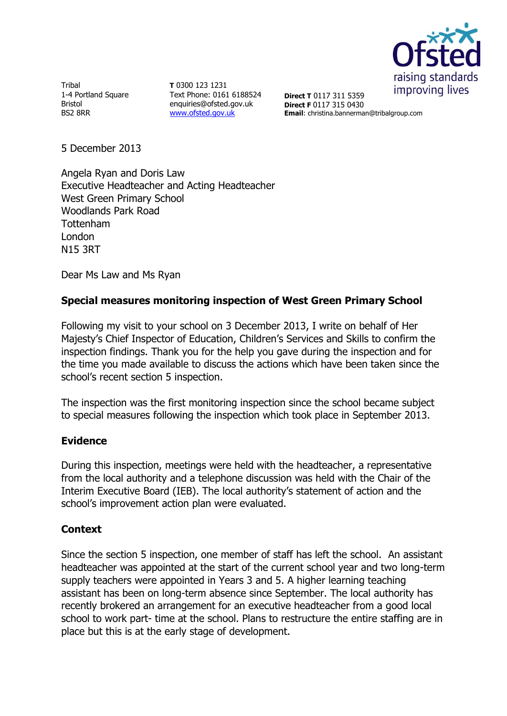

Tribal 1-4 Portland Square Bristol BS2 8RR

**T** 0300 123 1231 Text Phone: 0161 6188524 enquiries@ofsted.gov.uk [www.ofsted.gov.uk](http://www.ofsted.gov.uk/)

**Direct T** 0117 311 5359 **Direct F** 0117 315 0430 **Email**: christina.bannerman@tribalgroup.com

5 December 2013

Angela Ryan and Doris Law Executive Headteacher and Acting Headteacher West Green Primary School Woodlands Park Road Tottenham London N15 3RT

Dear Ms Law and Ms Ryan

## **Special measures monitoring inspection of West Green Primary School**

Following my visit to your school on 3 December 2013, I write on behalf of Her Majesty's Chief Inspector of Education, Children's Services and Skills to confirm the inspection findings. Thank you for the help you gave during the inspection and for the time you made available to discuss the actions which have been taken since the school's recent section 5 inspection.

The inspection was the first monitoring inspection since the school became subject to special measures following the inspection which took place in September 2013.

## **Evidence**

During this inspection, meetings were held with the headteacher, a representative from the local authority and a telephone discussion was held with the Chair of the Interim Executive Board (IEB). The local authority's statement of action and the school's improvement action plan were evaluated.

## **Context**

Since the section 5 inspection, one member of staff has left the school. An assistant headteacher was appointed at the start of the current school year and two long-term supply teachers were appointed in Years 3 and 5. A higher learning teaching assistant has been on long-term absence since September. The local authority has recently brokered an arrangement for an executive headteacher from a good local school to work part- time at the school. Plans to restructure the entire staffing are in place but this is at the early stage of development.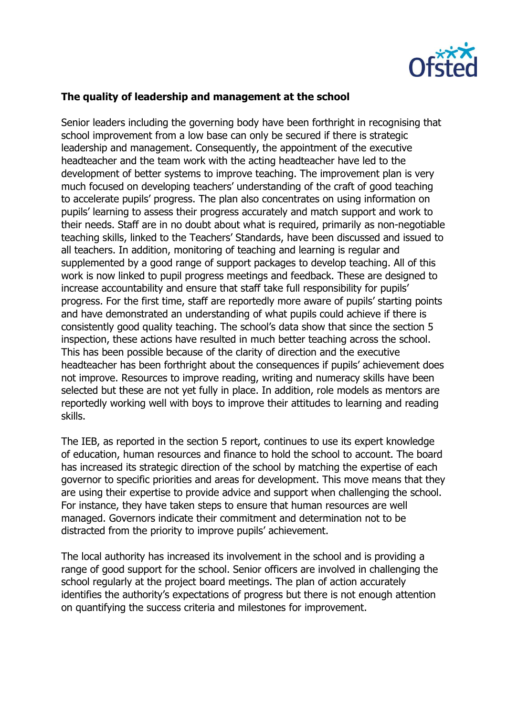

## **The quality of leadership and management at the school**

Senior leaders including the governing body have been forthright in recognising that school improvement from a low base can only be secured if there is strategic leadership and management. Consequently, the appointment of the executive headteacher and the team work with the acting headteacher have led to the development of better systems to improve teaching. The improvement plan is very much focused on developing teachers' understanding of the craft of good teaching to accelerate pupils' progress. The plan also concentrates on using information on pupils' learning to assess their progress accurately and match support and work to their needs. Staff are in no doubt about what is required, primarily as non-negotiable teaching skills, linked to the Teachers' Standards, have been discussed and issued to all teachers. In addition, monitoring of teaching and learning is regular and supplemented by a good range of support packages to develop teaching. All of this work is now linked to pupil progress meetings and feedback. These are designed to increase accountability and ensure that staff take full responsibility for pupils' progress. For the first time, staff are reportedly more aware of pupils' starting points and have demonstrated an understanding of what pupils could achieve if there is consistently good quality teaching. The school's data show that since the section 5 inspection, these actions have resulted in much better teaching across the school. This has been possible because of the clarity of direction and the executive headteacher has been forthright about the consequences if pupils' achievement does not improve. Resources to improve reading, writing and numeracy skills have been selected but these are not yet fully in place. In addition, role models as mentors are reportedly working well with boys to improve their attitudes to learning and reading skills.

The IEB, as reported in the section 5 report, continues to use its expert knowledge of education, human resources and finance to hold the school to account. The board has increased its strategic direction of the school by matching the expertise of each governor to specific priorities and areas for development. This move means that they are using their expertise to provide advice and support when challenging the school. For instance, they have taken steps to ensure that human resources are well managed. Governors indicate their commitment and determination not to be distracted from the priority to improve pupils' achievement.

The local authority has increased its involvement in the school and is providing a range of good support for the school. Senior officers are involved in challenging the school regularly at the project board meetings. The plan of action accurately identifies the authority's expectations of progress but there is not enough attention on quantifying the success criteria and milestones for improvement.